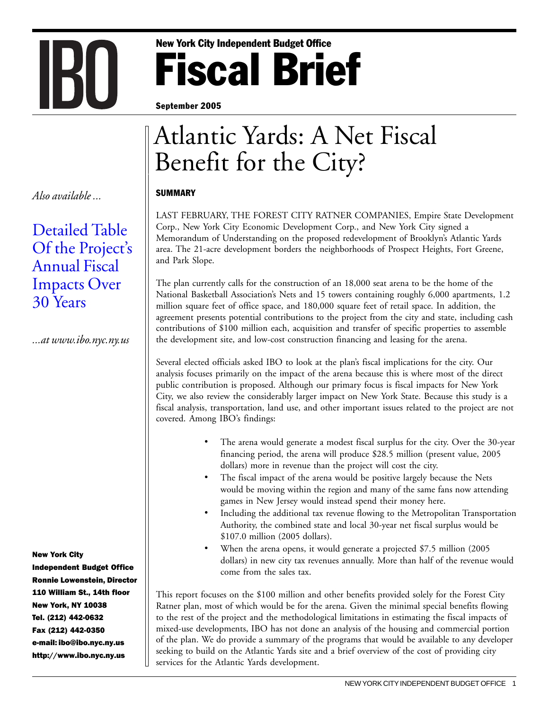# Fiscal Brief New York City Independent Budget Office

September 2005

## Atlantic Yards: A Net Fiscal Benefit for the City?

**SUMMARY** 

İ.

LAST FEBRUARY, THE FOREST CITY RATNER COMPANIES, Empire State Development Corp., New York City Economic Development Corp., and New York City signed a Memorandum of Understanding on the proposed redevelopment of Brooklyn's Atlantic Yards area. The 21-acre development borders the neighborhoods of Prospect Heights, Fort Greene, and Park Slope.

The plan currently calls for the construction of an 18,000 seat arena to be the home of the National Basketball Association's Nets and 15 towers containing roughly 6,000 apartments, 1.2 million square feet of office space, and 180,000 square feet of retail space. In addition, the agreement presents potential contributions to the project from the city and state, including cash contributions of \$100 million each, acquisition and transfer of specific properties to assemble the development site, and low-cost construction financing and leasing for the arena.

Several elected officials asked IBO to look at the plan's fiscal implications for the city. Our analysis focuses primarily on the impact of the arena because this is where most of the direct public contribution is proposed. Although our primary focus is fiscal impacts for New York City, we also review the considerably larger impact on New York State. Because this study is a fiscal analysis, transportation, land use, and other important issues related to the project are not covered. Among IBO's findings:

- The arena would generate a modest fiscal surplus for the city. Over the 30-year financing period, the arena will produce \$28.5 million (present value, 2005 dollars) more in revenue than the project will cost the city.
- The fiscal impact of the arena would be positive largely because the Nets would be moving within the region and many of the same fans now attending games in New Jersey would instead spend their money here.
- Including the additional tax revenue flowing to the Metropolitan Transportation Authority, the combined state and local 30-year net fiscal surplus would be \$107.0 million (2005 dollars).
- When the arena opens, it would generate a projected \$7.5 million (2005 dollars) in new city tax revenues annually. More than half of the revenue would come from the sales tax.

This report focuses on the \$100 million and other benefits provided solely for the Forest City Ratner plan, most of which would be for the arena. Given the minimal special benefits flowing to the rest of the project and the methodological limitations in estimating the fiscal impacts of mixed-use developments, IBO has not done an analysis of the housing and commercial portion of the plan. We do provide a summary of the programs that would be available to any developer seeking to build on the Atlantic Yards site and a brief overview of the cost of providing city services for the Atlantic Yards development.

*Also available ...*

### [Detailed Table](www.ibo.nyc.ny.us/iboreports/AtlanticYardsFBTable.pdf) [Of the Project's](www.ibo.nyc.ny.us/iboreports/AtlanticYardsFBTable.pdf) Annual Fiscal Impacts Over [30 Years](www.ibo.nyc.ny.us/iboreports/AtlanticYardsFBTable.pdf)

**IBU** 

*...at www.ibo.nyc.ny.us*

New York City

Independent Budget Office Ronnie Lowenstein, Director 110 William St., 14th floor New York, NY 10038 Tel. (212) 442-0632 Fax (212) 442-0350 e-mail: ibo@ibo.nyc.ny.us http://www.ibo.nyc.ny.us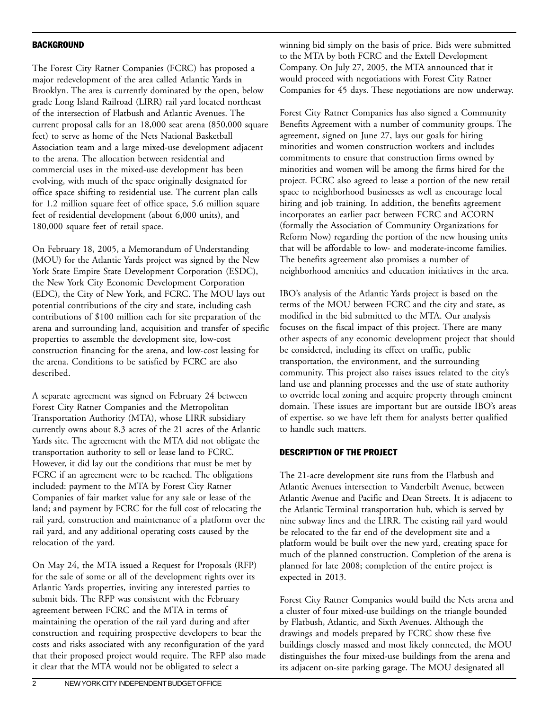#### BACKGROUND

The Forest City Ratner Companies (FCRC) has proposed a major redevelopment of the area called Atlantic Yards in Brooklyn. The area is currently dominated by the open, below grade Long Island Railroad (LIRR) rail yard located northeast of the intersection of Flatbush and Atlantic Avenues. The current proposal calls for an 18,000 seat arena (850,000 square feet) to serve as home of the Nets National Basketball Association team and a large mixed-use development adjacent to the arena. The allocation between residential and commercial uses in the mixed-use development has been evolving, with much of the space originally designated for office space shifting to residential use. The current plan calls for 1.2 million square feet of office space, 5.6 million square feet of residential development (about 6,000 units), and 180,000 square feet of retail space.

On February 18, 2005, a Memorandum of Understanding (MOU) for the Atlantic Yards project was signed by the New York State Empire State Development Corporation (ESDC), the New York City Economic Development Corporation (EDC), the City of New York, and FCRC. The MOU lays out potential contributions of the city and state, including cash contributions of \$100 million each for site preparation of the arena and surrounding land, acquisition and transfer of specific properties to assemble the development site, low-cost construction financing for the arena, and low-cost leasing for the arena. Conditions to be satisfied by FCRC are also described.

A separate agreement was signed on February 24 between Forest City Ratner Companies and the Metropolitan Transportation Authority (MTA), whose LIRR subsidiary currently owns about 8.3 acres of the 21 acres of the Atlantic Yards site. The agreement with the MTA did not obligate the transportation authority to sell or lease land to FCRC. However, it did lay out the conditions that must be met by FCRC if an agreement were to be reached. The obligations included: payment to the MTA by Forest City Ratner Companies of fair market value for any sale or lease of the land; and payment by FCRC for the full cost of relocating the rail yard, construction and maintenance of a platform over the rail yard, and any additional operating costs caused by the relocation of the yard.

On May 24, the MTA issued a Request for Proposals (RFP) for the sale of some or all of the development rights over its Atlantic Yards properties, inviting any interested parties to submit bids. The RFP was consistent with the February agreement between FCRC and the MTA in terms of maintaining the operation of the rail yard during and after construction and requiring prospective developers to bear the costs and risks associated with any reconfiguration of the yard that their proposed project would require. The RFP also made it clear that the MTA would not be obligated to select a

winning bid simply on the basis of price. Bids were submitted to the MTA by both FCRC and the Extell Development Company. On July 27, 2005, the MTA announced that it would proceed with negotiations with Forest City Ratner Companies for 45 days. These negotiations are now underway.

Forest City Ratner Companies has also signed a Community Benefits Agreement with a number of community groups. The agreement, signed on June 27, lays out goals for hiring minorities and women construction workers and includes commitments to ensure that construction firms owned by minorities and women will be among the firms hired for the project. FCRC also agreed to lease a portion of the new retail space to neighborhood businesses as well as encourage local hiring and job training. In addition, the benefits agreement incorporates an earlier pact between FCRC and ACORN (formally the Association of Community Organizations for Reform Now) regarding the portion of the new housing units that will be affordable to low- and moderate-income families. The benefits agreement also promises a number of neighborhood amenities and education initiatives in the area.

IBO's analysis of the Atlantic Yards project is based on the terms of the MOU between FCRC and the city and state, as modified in the bid submitted to the MTA. Our analysis focuses on the fiscal impact of this project. There are many other aspects of any economic development project that should be considered, including its effect on traffic, public transportation, the environment, and the surrounding community. This project also raises issues related to the city's land use and planning processes and the use of state authority to override local zoning and acquire property through eminent domain. These issues are important but are outside IBO's areas of expertise, so we have left them for analysts better qualified to handle such matters.

#### DESCRIPTION OF THE PROJECT

The 21-acre development site runs from the Flatbush and Atlantic Avenues intersection to Vanderbilt Avenue, between Atlantic Avenue and Pacific and Dean Streets. It is adjacent to the Atlantic Terminal transportation hub, which is served by nine subway lines and the LIRR. The existing rail yard would be relocated to the far end of the development site and a platform would be built over the new yard, creating space for much of the planned construction. Completion of the arena is planned for late 2008; completion of the entire project is expected in 2013.

Forest City Ratner Companies would build the Nets arena and a cluster of four mixed-use buildings on the triangle bounded by Flatbush, Atlantic, and Sixth Avenues. Although the drawings and models prepared by FCRC show these five buildings closely massed and most likely connected, the MOU distinguishes the four mixed-use buildings from the arena and its adjacent on-site parking garage. The MOU designated all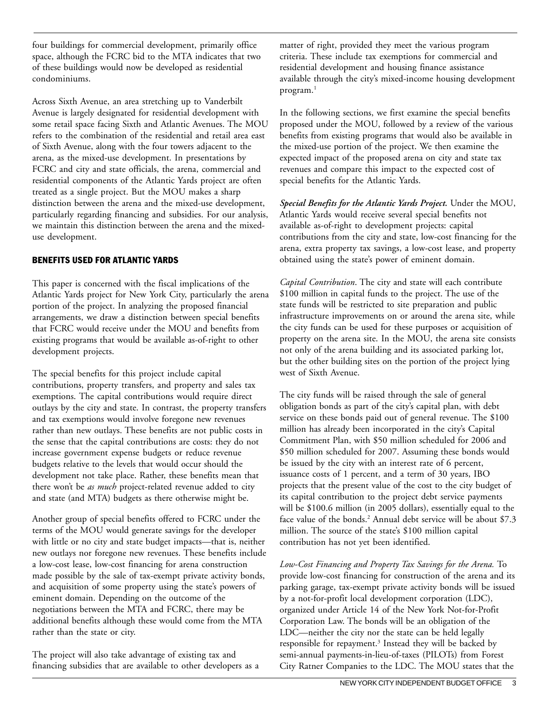four buildings for commercial development, primarily office space, although the FCRC bid to the MTA indicates that two of these buildings would now be developed as residential condominiums.

Across Sixth Avenue, an area stretching up to Vanderbilt Avenue is largely designated for residential development with some retail space facing Sixth and Atlantic Avenues. The MOU refers to the combination of the residential and retail area east of Sixth Avenue, along with the four towers adjacent to the arena, as the mixed-use development. In presentations by FCRC and city and state officials, the arena, commercial and residential components of the Atlantic Yards project are often treated as a single project. But the MOU makes a sharp distinction between the arena and the mixed-use development, particularly regarding financing and subsidies. For our analysis, we maintain this distinction between the arena and the mixeduse development.

#### BENEFITS USED FOR ATLANTIC YARDS

This paper is concerned with the fiscal implications of the Atlantic Yards project for New York City, particularly the arena portion of the project. In analyzing the proposed financial arrangements, we draw a distinction between special benefits that FCRC would receive under the MOU and benefits from existing programs that would be available as-of-right to other development projects.

The special benefits for this project include capital contributions, property transfers, and property and sales tax exemptions. The capital contributions would require direct outlays by the city and state. In contrast, the property transfers and tax exemptions would involve foregone new revenues rather than new outlays. These benefits are not public costs in the sense that the capital contributions are costs: they do not increase government expense budgets or reduce revenue budgets relative to the levels that would occur should the development not take place. Rather, these benefits mean that there won't be *as much* project-related revenue added to city and state (and MTA) budgets as there otherwise might be.

Another group of special benefits offered to FCRC under the terms of the MOU would generate savings for the developer with little or no city and state budget impacts—that is, neither new outlays nor foregone new revenues. These benefits include a low-cost lease, low-cost financing for arena construction made possible by the sale of tax-exempt private activity bonds, and acquisition of some property using the state's powers of eminent domain. Depending on the outcome of the negotiations between the MTA and FCRC, there may be additional benefits although these would come from the MTA rather than the state or city.

The project will also take advantage of existing tax and financing subsidies that are available to other developers as a matter of right, provided they meet the various program criteria. These include tax exemptions for commercial and residential development and housing finance assistance available through the city's mixed-income housing development program.<sup>1</sup>

In the following sections, we first examine the special benefits proposed under the MOU, followed by a review of the various benefits from existing programs that would also be available in the mixed-use portion of the project. We then examine the expected impact of the proposed arena on city and state tax revenues and compare this impact to the expected cost of special benefits for the Atlantic Yards.

*Special Benefits for the Atlantic Yards Project.* Under the MOU, Atlantic Yards would receive several special benefits not available as-of-right to development projects: capital contributions from the city and state, low-cost financing for the arena, extra property tax savings, a low-cost lease, and property obtained using the state's power of eminent domain.

*Capital Contribution*. The city and state will each contribute \$100 million in capital funds to the project. The use of the state funds will be restricted to site preparation and public infrastructure improvements on or around the arena site, while the city funds can be used for these purposes or acquisition of property on the arena site. In the MOU, the arena site consists not only of the arena building and its associated parking lot, but the other building sites on the portion of the project lying west of Sixth Avenue.

The city funds will be raised through the sale of general obligation bonds as part of the city's capital plan, with debt service on these bonds paid out of general revenue. The \$100 million has already been incorporated in the city's Capital Commitment Plan, with \$50 million scheduled for 2006 and \$50 million scheduled for 2007. Assuming these bonds would be issued by the city with an interest rate of 6 percent, issuance costs of 1 percent, and a term of 30 years, IBO projects that the present value of the cost to the city budget of its capital contribution to the project debt service payments will be \$100.6 million (in 2005 dollars), essentially equal to the face value of the bonds.2 Annual debt service will be about \$7.3 million. The source of the state's \$100 million capital contribution has not yet been identified.

*Low-Cost Financing and Property Tax Savings for the Arena.* To provide low-cost financing for construction of the arena and its parking garage, tax-exempt private activity bonds will be issued by a not-for-profit local development corporation (LDC), organized under Article 14 of the New York Not-for-Profit Corporation Law. The bonds will be an obligation of the LDC—neither the city nor the state can be held legally responsible for repayment.<sup>3</sup> Instead they will be backed by semi-annual payments-in-lieu-of-taxes (PILOTs) from Forest City Ratner Companies to the LDC. The MOU states that the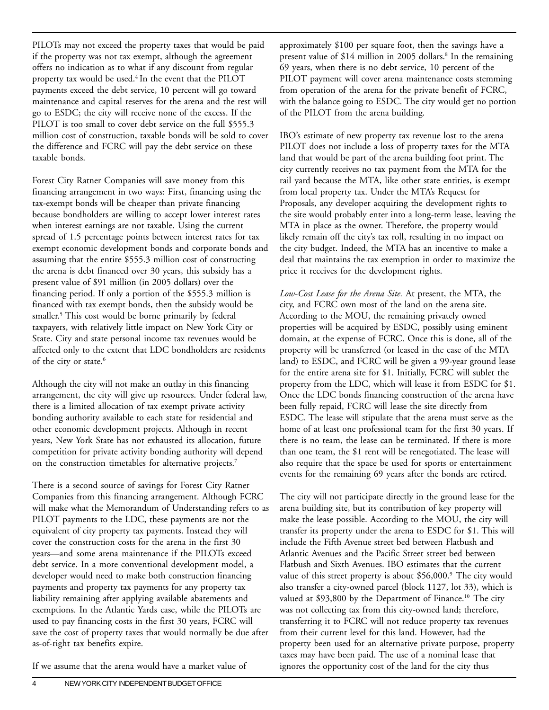PILOTs may not exceed the property taxes that would be paid if the property was not tax exempt, although the agreement offers no indication as to what if any discount from regular property tax would be used.<sup>4</sup> In the event that the PILOT payments exceed the debt service, 10 percent will go toward maintenance and capital reserves for the arena and the rest will go to ESDC; the city will receive none of the excess. If the PILOT is too small to cover debt service on the full \$555.3 million cost of construction, taxable bonds will be sold to cover the difference and FCRC will pay the debt service on these taxable bonds.

Forest City Ratner Companies will save money from this financing arrangement in two ways: First, financing using the tax-exempt bonds will be cheaper than private financing because bondholders are willing to accept lower interest rates when interest earnings are not taxable. Using the current spread of 1.5 percentage points between interest rates for tax exempt economic development bonds and corporate bonds and assuming that the entire \$555.3 million cost of constructing the arena is debt financed over 30 years, this subsidy has a present value of \$91 million (in 2005 dollars) over the financing period. If only a portion of the \$555.3 million is financed with tax exempt bonds, then the subsidy would be smaller.5 This cost would be borne primarily by federal taxpayers, with relatively little impact on New York City or State. City and state personal income tax revenues would be affected only to the extent that LDC bondholders are residents of the city or state.<sup>6</sup>

Although the city will not make an outlay in this financing arrangement, the city will give up resources. Under federal law, there is a limited allocation of tax exempt private activity bonding authority available to each state for residential and other economic development projects. Although in recent years, New York State has not exhausted its allocation, future competition for private activity bonding authority will depend on the construction timetables for alternative projects.<sup>7</sup>

There is a second source of savings for Forest City Ratner Companies from this financing arrangement. Although FCRC will make what the Memorandum of Understanding refers to as PILOT payments to the LDC, these payments are not the equivalent of city property tax payments. Instead they will cover the construction costs for the arena in the first 30 years—and some arena maintenance if the PILOTs exceed debt service. In a more conventional development model, a developer would need to make both construction financing payments and property tax payments for any property tax liability remaining after applying available abatements and exemptions. In the Atlantic Yards case, while the PILOTs are used to pay financing costs in the first 30 years, FCRC will save the cost of property taxes that would normally be due after as-of-right tax benefits expire.

If we assume that the arena would have a market value of

approximately \$100 per square foot, then the savings have a present value of \$14 million in 2005 dollars.<sup>8</sup> In the remaining 69 years, when there is no debt service, 10 percent of the PILOT payment will cover arena maintenance costs stemming from operation of the arena for the private benefit of FCRC, with the balance going to ESDC. The city would get no portion of the PILOT from the arena building.

IBO's estimate of new property tax revenue lost to the arena PILOT does not include a loss of property taxes for the MTA land that would be part of the arena building foot print. The city currently receives no tax payment from the MTA for the rail yard because the MTA, like other state entities, is exempt from local property tax. Under the MTA's Request for Proposals, any developer acquiring the development rights to the site would probably enter into a long-term lease, leaving the MTA in place as the owner. Therefore, the property would likely remain off the city's tax roll, resulting in no impact on the city budget. Indeed, the MTA has an incentive to make a deal that maintains the tax exemption in order to maximize the price it receives for the development rights.

*Low-Cost Lease for the Arena Site.* At present, the MTA, the city, and FCRC own most of the land on the arena site. According to the MOU, the remaining privately owned properties will be acquired by ESDC, possibly using eminent domain, at the expense of FCRC. Once this is done, all of the property will be transferred (or leased in the case of the MTA land) to ESDC, and FCRC will be given a 99-year ground lease for the entire arena site for \$1. Initially, FCRC will sublet the property from the LDC, which will lease it from ESDC for \$1. Once the LDC bonds financing construction of the arena have been fully repaid, FCRC will lease the site directly from ESDC. The lease will stipulate that the arena must serve as the home of at least one professional team for the first 30 years. If there is no team, the lease can be terminated. If there is more than one team, the \$1 rent will be renegotiated. The lease will also require that the space be used for sports or entertainment events for the remaining 69 years after the bonds are retired.

The city will not participate directly in the ground lease for the arena building site, but its contribution of key property will make the lease possible. According to the MOU, the city will transfer its property under the arena to ESDC for \$1. This will include the Fifth Avenue street bed between Flatbush and Atlantic Avenues and the Pacific Street street bed between Flatbush and Sixth Avenues. IBO estimates that the current value of this street property is about  $$56,000$ .<sup>9</sup> The city would also transfer a city-owned parcel (block 1127, lot 33), which is valued at \$93,800 by the Department of Finance.<sup>10</sup> The city was not collecting tax from this city-owned land; therefore, transferring it to FCRC will not reduce property tax revenues from their current level for this land. However, had the property been used for an alternative private purpose, property taxes may have been paid. The use of a nominal lease that ignores the opportunity cost of the land for the city thus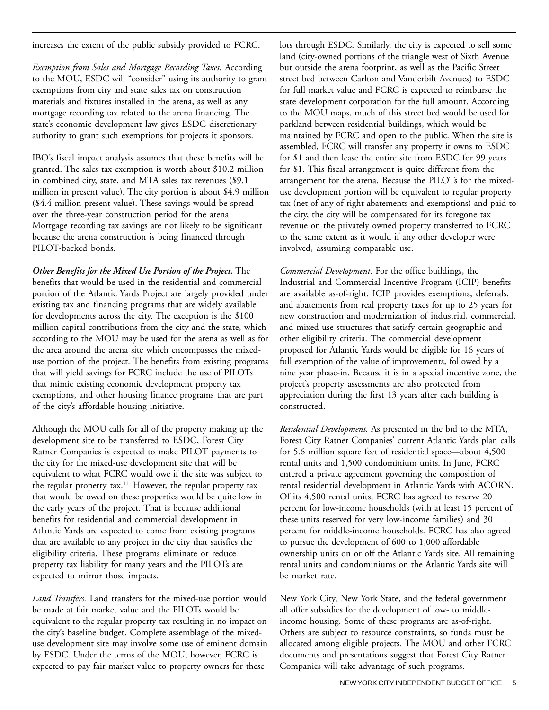increases the extent of the public subsidy provided to FCRC.

*Exemption from Sales and Mortgage Recording Taxes.* According to the MOU, ESDC will "consider" using its authority to grant exemptions from city and state sales tax on construction materials and fixtures installed in the arena, as well as any mortgage recording tax related to the arena financing. The state's economic development law gives ESDC discretionary authority to grant such exemptions for projects it sponsors.

IBO's fiscal impact analysis assumes that these benefits will be granted. The sales tax exemption is worth about \$10.2 million in combined city, state, and MTA sales tax revenues (\$9.1 million in present value). The city portion is about \$4.9 million (\$4.4 million present value). These savings would be spread over the three-year construction period for the arena. Mortgage recording tax savings are not likely to be significant because the arena construction is being financed through PILOT-backed bonds.

*Other Benefits for the Mixed Use Portion of the Project.* The benefits that would be used in the residential and commercial portion of the Atlantic Yards Project are largely provided under existing tax and financing programs that are widely available for developments across the city. The exception is the \$100 million capital contributions from the city and the state, which according to the MOU may be used for the arena as well as for the area around the arena site which encompasses the mixeduse portion of the project. The benefits from existing programs that will yield savings for FCRC include the use of PILOTs that mimic existing economic development property tax exemptions, and other housing finance programs that are part of the city's affordable housing initiative.

Although the MOU calls for all of the property making up the development site to be transferred to ESDC, Forest City Ratner Companies is expected to make PILOT payments to the city for the mixed-use development site that will be equivalent to what FCRC would owe if the site was subject to the regular property tax.<sup>11</sup> However, the regular property tax that would be owed on these properties would be quite low in the early years of the project. That is because additional benefits for residential and commercial development in Atlantic Yards are expected to come from existing programs that are available to any project in the city that satisfies the eligibility criteria. These programs eliminate or reduce property tax liability for many years and the PILOTs are expected to mirror those impacts.

*Land Transfers.* Land transfers for the mixed-use portion would be made at fair market value and the PILOTs would be equivalent to the regular property tax resulting in no impact on the city's baseline budget. Complete assemblage of the mixeduse development site may involve some use of eminent domain by ESDC. Under the terms of the MOU, however, FCRC is expected to pay fair market value to property owners for these

lots through ESDC. Similarly, the city is expected to sell some land (city-owned portions of the triangle west of Sixth Avenue but outside the arena footprint, as well as the Pacific Street street bed between Carlton and Vanderbilt Avenues) to ESDC for full market value and FCRC is expected to reimburse the state development corporation for the full amount. According to the MOU maps, much of this street bed would be used for parkland between residential buildings, which would be maintained by FCRC and open to the public. When the site is assembled, FCRC will transfer any property it owns to ESDC for \$1 and then lease the entire site from ESDC for 99 years for \$1. This fiscal arrangement is quite different from the arrangement for the arena. Because the PILOTs for the mixeduse development portion will be equivalent to regular property tax (net of any of-right abatements and exemptions) and paid to the city, the city will be compensated for its foregone tax revenue on the privately owned property transferred to FCRC to the same extent as it would if any other developer were involved, assuming comparable use.

*Commercial Development.* For the office buildings, the Industrial and Commercial Incentive Program (ICIP) benefits are available as-of-right. ICIP provides exemptions, deferrals, and abatements from real property taxes for up to 25 years for new construction and modernization of industrial, commercial, and mixed-use structures that satisfy certain geographic and other eligibility criteria. The commercial development proposed for Atlantic Yards would be eligible for 16 years of full exemption of the value of improvements, followed by a nine year phase-in. Because it is in a special incentive zone, the project's property assessments are also protected from appreciation during the first 13 years after each building is constructed.

*Residential Development.* As presented in the bid to the MTA, Forest City Ratner Companies' current Atlantic Yards plan calls for 5.6 million square feet of residential space—about 4,500 rental units and 1,500 condominium units. In June, FCRC entered a private agreement governing the composition of rental residential development in Atlantic Yards with ACORN. Of its 4,500 rental units, FCRC has agreed to reserve 20 percent for low-income households (with at least 15 percent of these units reserved for very low-income families) and 30 percent for middle-income households. FCRC has also agreed to pursue the development of 600 to 1,000 affordable ownership units on or off the Atlantic Yards site. All remaining rental units and condominiums on the Atlantic Yards site will be market rate.

New York City, New York State, and the federal government all offer subsidies for the development of low- to middleincome housing. Some of these programs are as-of-right. Others are subject to resource constraints, so funds must be allocated among eligible projects. The MOU and other FCRC documents and presentations suggest that Forest City Ratner Companies will take advantage of such programs.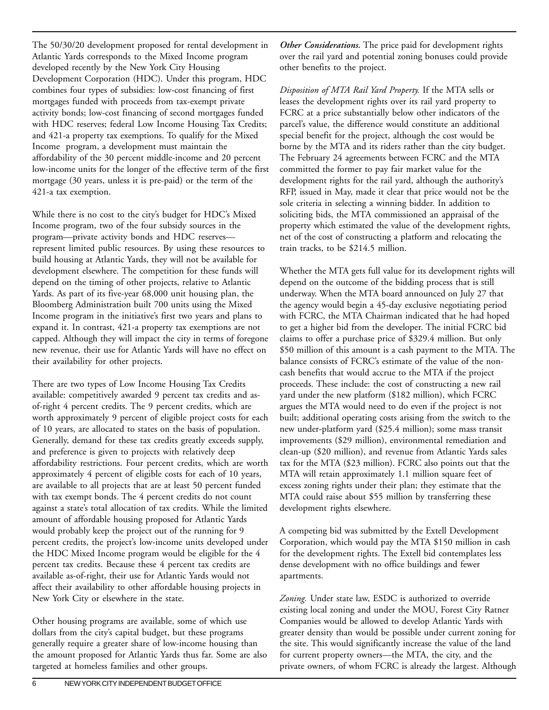The 50/30/20 development proposed for rental development in Atlantic Yards corresponds to the Mixed Income program developed recently by the New York City Housing Development Corporation (HDC). Under this program, HDC combines four types of subsidies: low-cost financing of first mortgages funded with proceeds from tax-exempt private activity bonds; low-cost financing of second mortgages funded with HDC reserves; federal Low Income Housing Tax Credits; and 421-a property tax exemptions. To qualify for the Mixed Income program, a development must maintain the affordability of the 30 percent middle-income and 20 percent low-income units for the longer of the effective term of the first mortgage (30 years, unless it is pre-paid) or the term of the 421-a tax exemption.

While there is no cost to the city's budget for HDC's Mixed Income program, two of the four subsidy sources in the program—private activity bonds and HDC reserves represent limited public resources. By using these resources to build housing at Atlantic Yards, they will not be available for development elsewhere. The competition for these funds will depend on the timing of other projects, relative to Atlantic Yards. As part of its five-year 68,000 unit housing plan, the Bloomberg Administration built 700 units using the Mixed Income program in the initiative's first two years and plans to expand it. In contrast, 421-a property tax exemptions are not capped. Although they will impact the city in terms of foregone new revenue, their use for Atlantic Yards will have no effect on their availability for other projects.

There are two types of Low Income Housing Tax Credits available: competitively awarded 9 percent tax credits and asof-right 4 percent credits. The 9 percent credits, which are worth approximately 9 percent of eligible project costs for each of 10 years, are allocated to states on the basis of population. Generally, demand for these tax credits greatly exceeds supply, and preference is given to projects with relatively deep affordability restrictions. Four percent credits, which are worth approximately 4 percent of eligible costs for each of 10 years, are available to all projects that are at least 50 percent funded with tax exempt bonds. The 4 percent credits do not count against a state's total allocation of tax credits. While the limited amount of affordable housing proposed for Atlantic Yards would probably keep the project out of the running for 9 percent credits, the project's low-income units developed under the HDC Mixed Income program would be eligible for the 4 percent tax credits. Because these 4 percent tax credits are available as-of-right, their use for Atlantic Yards would not affect their availability to other affordable housing projects in New York City or elsewhere in the state.

Other housing programs are available, some of which use dollars from the city's capital budget, but these programs generally require a greater share of low-income housing than the amount proposed for Atlantic Yards thus far. Some are also targeted at homeless families and other groups.

*Other Considerations.* The price paid for development rights over the rail yard and potential zoning bonuses could provide other benefits to the project.

*Disposition of MTA Rail Yard Property.* If the MTA sells or leases the development rights over its rail yard property to FCRC at a price substantially below other indicators of the parcel's value, the difference would constitute an additional special benefit for the project, although the cost would be borne by the MTA and its riders rather than the city budget. The February 24 agreements between FCRC and the MTA committed the former to pay fair market value for the development rights for the rail yard, although the authority's RFP, issued in May, made it clear that price would not be the sole criteria in selecting a winning bidder. In addition to soliciting bids, the MTA commissioned an appraisal of the property which estimated the value of the development rights, net of the cost of constructing a platform and relocating the train tracks, to be \$214.5 million.

Whether the MTA gets full value for its development rights will depend on the outcome of the bidding process that is still underway. When the MTA board announced on July 27 that the agency would begin a 45-day exclusive negotiating period with FCRC, the MTA Chairman indicated that he had hoped to get a higher bid from the developer. The initial FCRC bid claims to offer a purchase price of \$329.4 million. But only \$50 million of this amount is a cash payment to the MTA. The balance consists of FCRC's estimate of the value of the noncash benefits that would accrue to the MTA if the project proceeds. These include: the cost of constructing a new rail yard under the new platform (\$182 million), which FCRC argues the MTA would need to do even if the project is not built; additional operating costs arising from the switch to the new under-platform yard (\$25.4 million); some mass transit improvements (\$29 million), environmental remediation and clean-up (\$20 million), and revenue from Atlantic Yards sales tax for the MTA (\$23 million). FCRC also points out that the MTA will retain approximately 1.1 million square feet of excess zoning rights under their plan; they estimate that the MTA could raise about \$55 million by transferring these development rights elsewhere.

A competing bid was submitted by the Extell Development Corporation, which would pay the MTA \$150 million in cash for the development rights. The Extell bid contemplates less dense development with no office buildings and fewer apartments.

*Zoning.* Under state law, ESDC is authorized to override existing local zoning and under the MOU, Forest City Ratner Companies would be allowed to develop Atlantic Yards with greater density than would be possible under current zoning for the site. This would significantly increase the value of the land for current property owners—the MTA, the city, and the private owners, of whom FCRC is already the largest. Although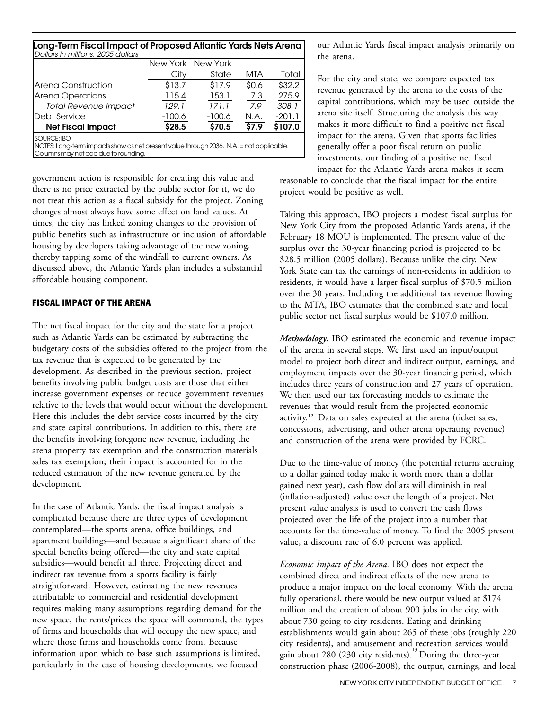| Long-Term Fiscal Impact of Proposed Atlantic Yards Nets Arena                                                 |          |                   |       |          |  |  |  |  |
|---------------------------------------------------------------------------------------------------------------|----------|-------------------|-------|----------|--|--|--|--|
| Dollars in millions, 2005 dollars                                                                             |          | New York New York |       |          |  |  |  |  |
|                                                                                                               | City     | State             | MTA   | Total    |  |  |  |  |
| Arena Construction                                                                                            | \$13.7   | \$17.9            | \$0.6 | \$32.2\$ |  |  |  |  |
| Arena Operations                                                                                              | 115.4    | 153.1             | 7.3   | 275.9    |  |  |  |  |
| <b>Total Revenue Impact</b>                                                                                   | 129.1    | 171.1             | 79    | 308.1    |  |  |  |  |
| <b>I</b> Debt Service                                                                                         | $-100.6$ | $-100.6$          | N.A.  | $-201.1$ |  |  |  |  |
| <b>Net Fiscal Impact</b>                                                                                      | \$28.5   | \$70.5            | \$7.9 | \$107.0  |  |  |  |  |
| <b>SOURCE: IBO</b><br>NOTES: Long-term impacts show as net present value through 2036. N.A. = not applicable. |          |                   |       |          |  |  |  |  |

Columns may not add due to rounding.

government action is responsible for creating this value and there is no price extracted by the public sector for it, we do not treat this action as a fiscal subsidy for the project. Zoning changes almost always have some effect on land values. At times, the city has linked zoning changes to the provision of public benefits such as infrastructure or inclusion of affordable housing by developers taking advantage of the new zoning, thereby tapping some of the windfall to current owners. As discussed above, the Atlantic Yards plan includes a substantial affordable housing component.

#### FISCAL IMPACT OF THE ARENA

The net fiscal impact for the city and the state for a project such as Atlantic Yards can be estimated by subtracting the budgetary costs of the subsidies offered to the project from the tax revenue that is expected to be generated by the development. As described in the previous section, project benefits involving public budget costs are those that either increase government expenses or reduce government revenues relative to the levels that would occur without the development. Here this includes the debt service costs incurred by the city and state capital contributions. In addition to this, there are the benefits involving foregone new revenue, including the arena property tax exemption and the construction materials sales tax exemption; their impact is accounted for in the reduced estimation of the new revenue generated by the development.

In the case of Atlantic Yards, the fiscal impact analysis is complicated because there are three types of development contemplated—the sports arena, office buildings, and apartment buildings—and because a significant share of the special benefits being offered—the city and state capital subsidies—would benefit all three. Projecting direct and indirect tax revenue from a sports facility is fairly straightforward. However, estimating the new revenues attributable to commercial and residential development requires making many assumptions regarding demand for the new space, the rents/prices the space will command, the types of firms and households that will occupy the new space, and where those firms and households come from. Because information upon which to base such assumptions is limited, particularly in the case of housing developments, we focused

our Atlantic Yards fiscal impact analysis primarily on the arena.

For the city and state, we compare expected tax revenue generated by the arena to the costs of the capital contributions, which may be used outside the arena site itself. Structuring the analysis this way makes it more difficult to find a positive net fiscal impact for the arena. Given that sports facilities generally offer a poor fiscal return on public investments, our finding of a positive net fiscal

impact for the Atlantic Yards arena makes it seem reasonable to conclude that the fiscal impact for the entire project would be positive as well.

Taking this approach, IBO projects a modest fiscal surplus for New York City from the proposed Atlantic Yards arena, if the February 18 MOU is implemented. The present value of the surplus over the 30-year financing period is projected to be \$28.5 million (2005 dollars). Because unlike the city, New York State can tax the earnings of non-residents in addition to residents, it would have a larger fiscal surplus of \$70.5 million over the 30 years. Including the additional tax revenue flowing to the MTA, IBO estimates that the combined state and local public sector net fiscal surplus would be \$107.0 million.

*Methodology.* IBO estimated the economic and revenue impact of the arena in several steps. We first used an input/output model to project both direct and indirect output, earnings, and employment impacts over the 30-year financing period, which includes three years of construction and 27 years of operation. We then used our tax forecasting models to estimate the revenues that would result from the projected economic activity.12 Data on sales expected at the arena (ticket sales, concessions, advertising, and other arena operating revenue) and construction of the arena were provided by FCRC.

Due to the time-value of money (the potential returns accruing to a dollar gained today make it worth more than a dollar gained next year), cash flow dollars will diminish in real (inflation-adjusted) value over the length of a project. Net present value analysis is used to convert the cash flows projected over the life of the project into a number that accounts for the time-value of money. To find the 2005 present value, a discount rate of 6.0 percent was applied.

*Economic Impact of the Arena.* IBO does not expect the combined direct and indirect effects of the new arena to produce a major impact on the local economy. With the arena fully operational, there would be new output valued at \$174 million and the creation of about 900 jobs in the city, with about 730 going to city residents. Eating and drinking establishments would gain about 265 of these jobs (roughly 220 city residents), and amusement and recreation services would gain about 280 (230 city residents).<sup>13</sup> During the three-year construction phase (2006-2008), the output, earnings, and local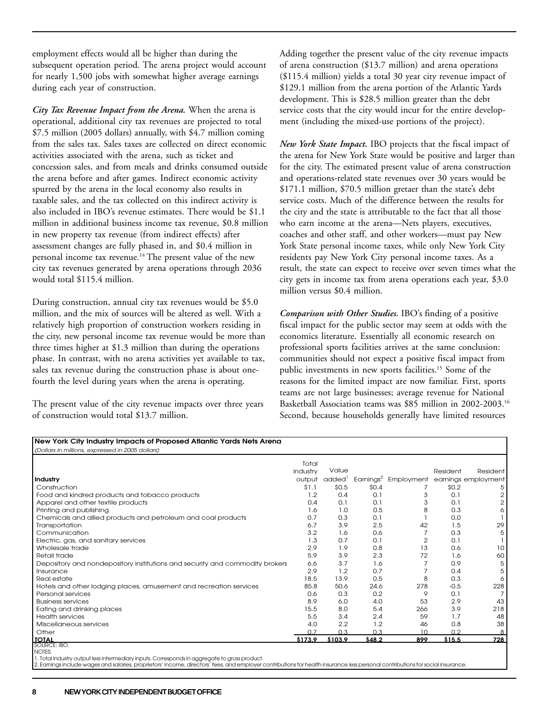employment effects would all be higher than during the subsequent operation period. The arena project would account for nearly 1,500 jobs with somewhat higher average earnings during each year of construction.

*City Tax Revenue Impact from the Arena.* When the arena is operational, additional city tax revenues are projected to total \$7.5 million (2005 dollars) annually, with \$4.7 million coming from the sales tax. Sales taxes are collected on direct economic activities associated with the arena, such as ticket and concession sales, and from meals and drinks consumed outside the arena before and after games. Indirect economic activity spurred by the arena in the local economy also results in taxable sales, and the tax collected on this indirect activity is also included in IBO's revenue estimates. There would be \$1.1 million in additional business income tax revenue, \$0.8 million in new property tax revenue (from indirect effects) after assessment changes are fully phased in, and \$0.4 million in personal income tax revenue*.* 14 The present value of the new city tax revenues generated by arena operations through 2036 would total \$115.4 million.

During construction, annual city tax revenues would be \$5.0 million, and the mix of sources will be altered as well. With a relatively high proportion of construction workers residing in the city, new personal income tax revenue would be more than three times higher at \$1.3 million than during the operations phase. In contrast, with no arena activities yet available to tax, sales tax revenue during the construction phase is about onefourth the level during years when the arena is operating.

The present value of the city revenue impacts over three years of construction would total \$13.7 million.

Adding together the present value of the city revenue impacts of arena construction (\$13.7 million) and arena operations (\$115.4 million) yields a total 30 year city revenue impact of \$129.1 million from the arena portion of the Atlantic Yards development. This is \$28.5 million greater than the debt service costs that the city would incur for the entire development (including the mixed-use portions of the project).

*New York State Impact.* IBO projects that the fiscal impact of the arena for New York State would be positive and larger than for the city. The estimated present value of arena construction and operations-related state revenues over 30 years would be \$171.1 million, \$70.5 million gretaer than the state's debt service costs. Much of the difference between the results for the city and the state is attributable to the fact that all those who earn income at the arena—Nets players, executives, coaches and other staff, and other workers—must pay New York State personal income taxes, while only New York City residents pay New York City personal income taxes. As a result, the state can expect to receive over seven times what the city gets in income tax from arena operations each year, \$3.0 million versus \$0.4 million.

*Comparison with Other Studies.* IBO's finding of a positive fiscal impact for the public sector may seem at odds with the economics literature. Essentially all economic research on professional sports facilities arrives at the same conclusion: communities should not expect a positive fiscal impact from public investments in new sports facilities.<sup>15</sup> Some of the reasons for the limited impact are now familiar. First, sports teams are not large businesses; average revenue for National Basketball Association teams was \$85 million in 2002-2003.16 Second, because households generally have limited resources

| Construction<br>Food and kindred products and tobacco products<br>Apparel and other textile products<br>Printing and publishing | Total<br>industry<br>output<br>\$1.1<br>1.2 | Value<br>added <sup>1</sup><br>\$0.5 |        |                | Resident |                                                      |
|---------------------------------------------------------------------------------------------------------------------------------|---------------------------------------------|--------------------------------------|--------|----------------|----------|------------------------------------------------------|
| Industry                                                                                                                        |                                             |                                      |        |                |          |                                                      |
|                                                                                                                                 |                                             |                                      |        |                |          | Resident                                             |
|                                                                                                                                 |                                             |                                      |        |                |          | Earnings <sup>2</sup> Employment earnings employment |
|                                                                                                                                 |                                             |                                      | \$0.4  |                | \$0.2    | 5                                                    |
|                                                                                                                                 |                                             | 0.4                                  | 0.1    | 3              | 0.1      | 2                                                    |
|                                                                                                                                 | 0.4                                         | 0.1                                  | 0.1    | 3              | 0.1      | 2                                                    |
|                                                                                                                                 | 1.6                                         | 1.0                                  | 0.5    | 8              | 0.3      | 6                                                    |
| Chemicals and allied products and petroleum and coal products                                                                   | 0.7                                         | 0.3                                  | 0.1    |                | 0.0      |                                                      |
| Transportation                                                                                                                  | 6.7                                         | 3.9                                  | 2.5    | 42             | 1.5      | 29                                                   |
| Communication                                                                                                                   | 3.2                                         | 1.6                                  | 0.6    |                | 0.3      | 5                                                    |
| Electric, gas, and sanitary services                                                                                            | 1.3                                         | 0.7                                  | 0.1    | $\overline{2}$ | 0.1      |                                                      |
| Wholesale trade                                                                                                                 | 2.9                                         | 1.9                                  | 0.8    | 13             | 0.6      | 10                                                   |
| Retail trade                                                                                                                    | 5.9                                         | 3.9                                  | 2.3    | 72             | 1.6      | 60                                                   |
| Depository and nondepository institutions and security and commodity brokers                                                    | 6.6                                         | 3.7                                  | 1.6    | 7              | 0.9      | 5                                                    |
| Insurance                                                                                                                       | 2.9                                         | 1.2                                  | 0.7    |                | 0.4      | 5                                                    |
| Real estate                                                                                                                     | 18.5                                        | 13.9                                 | 0.5    | 8              | 0.3      | 6                                                    |
| Hotels and other lodging places, amusement and recreation services                                                              | 85.8                                        | 50.6                                 | 24.6   | 278            | $-0.5$   | 228                                                  |
| Personal services                                                                                                               | 0.6                                         | 0.3                                  | 0.2    | 9              | 0.1      | $\overline{7}$                                       |
| <b>Business services</b>                                                                                                        | 8.9                                         | 6.0                                  | 4.0    | 53             | 2.9      | 43                                                   |
| Eating and drinking places                                                                                                      | 15.5                                        | 8.0                                  | 5.4    | 266            | 3.9      | 218                                                  |
| <b>Health services</b>                                                                                                          | 5.5                                         | 3.4                                  | 2.4    | 59             | 1.7      | 48                                                   |
| Miscellaneous services                                                                                                          | 4.0                                         | 2.2                                  | 1.2    | 46             | 0.8      | 38                                                   |
| Other                                                                                                                           | 07                                          | 0.3                                  | 0.3    | 10             | 0.2      | 8                                                    |
| <b>TOTAL</b><br>SOURCE: IBO.                                                                                                    | \$173.9                                     | \$103.9                              | \$48.2 | 899            | \$15.5   | 728                                                  |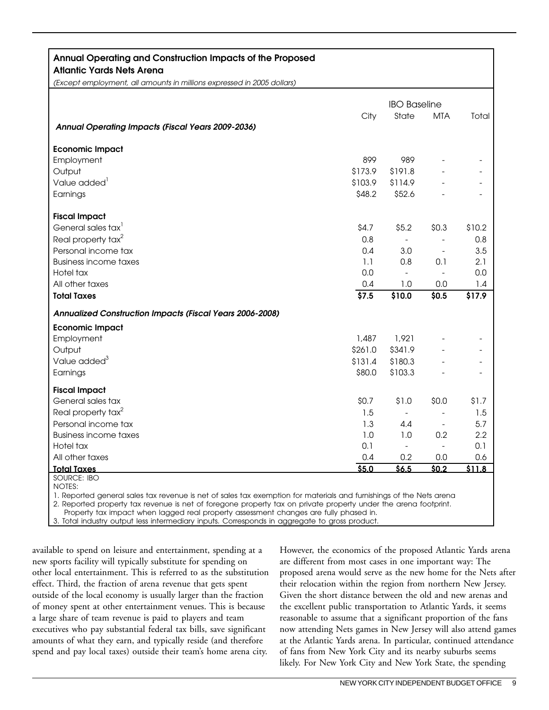### **Annual Operating and Construction Impacts of the Proposed**

**Atlantic Yards Nets Arena**

*(Except employment, all amounts in millions expressed in 2005 dollars)*

|                                                                                                                                      |         | <b>IBO Baseline</b>      |                          |        |  |
|--------------------------------------------------------------------------------------------------------------------------------------|---------|--------------------------|--------------------------|--------|--|
|                                                                                                                                      | City    | State                    | <b>MTA</b>               | Total  |  |
| Annual Operating Impacts (Fiscal Years 2009-2036)                                                                                    |         |                          |                          |        |  |
| <b>Economic Impact</b>                                                                                                               |         |                          |                          |        |  |
| Employment                                                                                                                           | 899     | 989                      |                          |        |  |
| Output                                                                                                                               | \$173.9 | \$191.8                  |                          |        |  |
| Value added <sup>1</sup>                                                                                                             | \$103.9 | \$114.9                  |                          |        |  |
| Earnings                                                                                                                             | \$48.2  | \$52.6                   |                          |        |  |
| <b>Fiscal Impact</b>                                                                                                                 |         |                          |                          |        |  |
| General sales tax <sup>1</sup>                                                                                                       | \$4.7   | \$5.2                    | \$0.3\$                  | \$10.2 |  |
| Real property tax <sup>2</sup>                                                                                                       | 0.8     | $\sim$                   | $\overline{a}$           | 0.8    |  |
| Personal income tax                                                                                                                  | 0.4     | 3.0                      | $\overline{\phantom{a}}$ | 3.5    |  |
| <b>Business income taxes</b>                                                                                                         | 1.1     | 0.8                      | 0.1                      | 2.1    |  |
| Hotel tax                                                                                                                            | 0.0     | $\overline{\phantom{a}}$ | $\blacksquare$           | 0.0    |  |
| All other taxes                                                                                                                      | 0.4     | 1.0                      | 0.0                      | 1.4    |  |
| <b>Total Taxes</b>                                                                                                                   | \$7.5   | \$10.0                   | \$0.5                    | \$17.9 |  |
| Annualized Construction Impacts (Fiscal Years 2006-2008)                                                                             |         |                          |                          |        |  |
| <b>Economic Impact</b>                                                                                                               |         |                          |                          |        |  |
| Employment                                                                                                                           | 1,487   | 1,921                    |                          |        |  |
| Output                                                                                                                               | \$261.0 | \$341.9                  |                          |        |  |
| Value added <sup>3</sup>                                                                                                             | \$131.4 | \$180.3                  |                          |        |  |
| Earnings                                                                                                                             | \$80.0  | \$103.3                  |                          |        |  |
| <b>Fiscal Impact</b>                                                                                                                 |         |                          |                          |        |  |
| General sales tax                                                                                                                    | \$0.7   | \$1.0                    | \$0.0                    | \$1.7  |  |
| Real property tax <sup>2</sup>                                                                                                       | 1.5     | $\blacksquare$           |                          | 1.5    |  |
| Personal income tax                                                                                                                  | 1.3     | 4.4                      |                          | 5.7    |  |
| <b>Business income taxes</b>                                                                                                         | 1.0     | 1.0                      | 0.2                      | 2.2    |  |
| Hotel tax                                                                                                                            | 0.1     | $\overline{\phantom{a}}$ | $\overline{a}$           | 0.1    |  |
| All other taxes                                                                                                                      | 0.4     | 0.2                      | 0.0                      | 0.6    |  |
| <b>Total Taxes</b>                                                                                                                   | \$5.0   | \$6.5                    | \$0.2                    | \$11.8 |  |
| <b>SOURCE: IBO</b>                                                                                                                   |         |                          |                          |        |  |
| <b>NOTES:</b><br>1. Reported general sales tax revenue is net of sales tax exemption for materials and furnishings of the Nets arena |         |                          |                          |        |  |
| 2. Reported property tax revenue is net of foregone property tax on private property under the arena footprint.                      |         |                          |                          |        |  |

Property tax impact when lagged real property assessment changes are fully phased in.

3. Total industry output less intermediary inputs. Corresponds in aggregate to gross product.

available to spend on leisure and entertainment, spending at a new sports facility will typically substitute for spending on other local entertainment. This is referred to as the substitution effect. Third, the fraction of arena revenue that gets spent outside of the local economy is usually larger than the fraction of money spent at other entertainment venues. This is because a large share of team revenue is paid to players and team executives who pay substantial federal tax bills, save significant amounts of what they earn, and typically reside (and therefore spend and pay local taxes) outside their team's home arena city.

However, the economics of the proposed Atlantic Yards arena are different from most cases in one important way: The proposed arena would serve as the new home for the Nets after their relocation within the region from northern New Jersey. Given the short distance between the old and new arenas and the excellent public transportation to Atlantic Yards, it seems reasonable to assume that a significant proportion of the fans now attending Nets games in New Jersey will also attend games at the Atlantic Yards arena. In particular, continued attendance of fans from New York City and its nearby suburbs seems likely. For New York City and New York State, the spending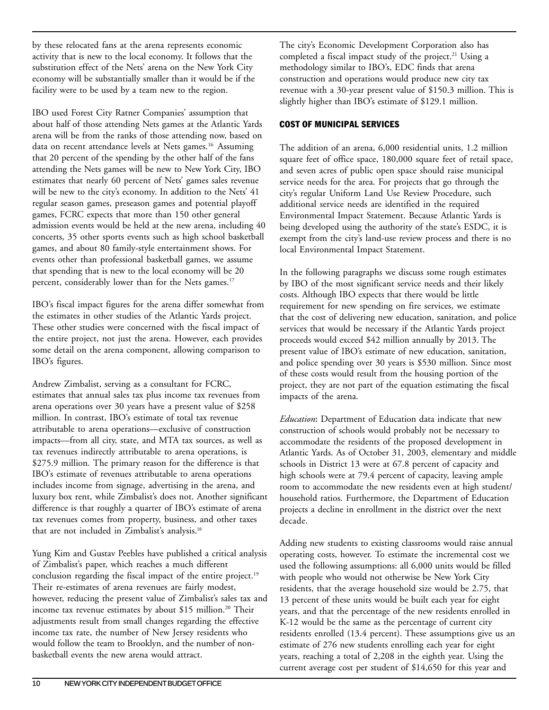by these relocated fans at the arena represents economic activity that is new to the local economy. It follows that the substitution effect of the Nets' arena on the New York City economy will be substantially smaller than it would be if the facility were to be used by a team new to the region.

IBO used Forest City Ratner Companies' assumption that about half of those attending Nets games at the Atlantic Yards arena will be from the ranks of those attending now, based on data on recent attendance levels at Nets games.<sup>16</sup> Assuming that 20 percent of the spending by the other half of the fans attending the Nets games will be new to New York City, IBO estimates that nearly 60 percent of Nets' games sales revenue will be new to the city's economy. In addition to the Nets' 41 regular season games, preseason games and potential playoff games, FCRC expects that more than 150 other general admission events would be held at the new arena, including 40 concerts, 35 other sports events such as high school basketball games, and about 80 family-style entertainment shows. For events other than professional basketball games, we assume that spending that is new to the local economy will be 20 percent, considerably lower than for the Nets games.<sup>17</sup>

IBO's fiscal impact figures for the arena differ somewhat from the estimates in other studies of the Atlantic Yards project. These other studies were concerned with the fiscal impact of the entire project, not just the arena. However, each provides some detail on the arena component, allowing comparison to IBO's figures.

Andrew Zimbalist, serving as a consultant for FCRC, estimates that annual sales tax plus income tax revenues from arena operations over 30 years have a present value of \$258 million. In contrast, IBO's estimate of total tax revenue attributable to arena operations—exclusive of construction impacts—from all city, state, and MTA tax sources, as well as tax revenues indirectly attributable to arena operations, is \$275.9 million. The primary reason for the difference is that IBO's estimate of revenues attributable to arena operations includes income from signage, advertising in the arena, and luxury box rent, while Zimbalist's does not. Another significant difference is that roughly a quarter of IBO's estimate of arena tax revenues comes from property, business, and other taxes that are not included in Zimbalist's analysis.<sup>18</sup>

Yung Kim and Gustav Peebles have published a critical analysis of Zimbalist's paper, which reaches a much different conclusion regarding the fiscal impact of the entire project.<sup>19</sup> Their re-estimates of arena revenues are fairly modest, however, reducing the present value of Zimbalist's sales tax and income tax revenue estimates by about \$15 million.<sup>20</sup> Their adjustments result from small changes regarding the effective income tax rate, the number of New Jersey residents who would follow the team to Brooklyn, and the number of nonbasketball events the new arena would attract.

The city's Economic Development Corporation also has completed a fiscal impact study of the project.<sup>21</sup> Using a methodology similar to IBO's, EDC finds that arena construction and operations would produce new city tax revenue with a 30-year present value of \$150.3 million. This is slightly higher than IBO's estimate of \$129.1 million.

#### COST OF MUNICIPAL SERVICES

The addition of an arena, 6,000 residential units, 1.2 million square feet of office space, 180,000 square feet of retail space, and seven acres of public open space should raise municipal service needs for the area. For projects that go through the city's regular Uniform Land Use Review Procedure, such additional service needs are identified in the required Environmental Impact Statement. Because Atlantic Yards is being developed using the authority of the state's ESDC, it is exempt from the city's land-use review process and there is no local Environmental Impact Statement.

In the following paragraphs we discuss some rough estimates by IBO of the most significant service needs and their likely costs. Although IBO expects that there would be little requirement for new spending on fire services, we estimate that the cost of delivering new education, sanitation, and police services that would be necessary if the Atlantic Yards project proceeds would exceed \$42 million annually by 2013. The present value of IBO's estimate of new education, sanitation, and police spending over 30 years is \$530 million. Since most of these costs would result from the housing portion of the project, they are not part of the equation estimating the fiscal impacts of the arena.

*Education***:** Department of Education data indicate that new construction of schools would probably not be necessary to accommodate the residents of the proposed development in Atlantic Yards. As of October 31, 2003, elementary and middle schools in District 13 were at 67.8 percent of capacity and high schools were at 79.4 percent of capacity, leaving ample room to accommodate the new residents even at high student/ household ratios. Furthermore, the Department of Education projects a decline in enrollment in the district over the next decade.

Adding new students to existing classrooms would raise annual operating costs, however. To estimate the incremental cost we used the following assumptions: all 6,000 units would be filled with people who would not otherwise be New York City residents, that the average household size would be 2.75, that 13 percent of these units would be built each year for eight years, and that the percentage of the new residents enrolled in K-12 would be the same as the percentage of current city residents enrolled (13.4 percent). These assumptions give us an estimate of 276 new students enrolling each year for eight years, reaching a total of 2,208 in the eighth year. Using the current average cost per student of \$14,650 for this year and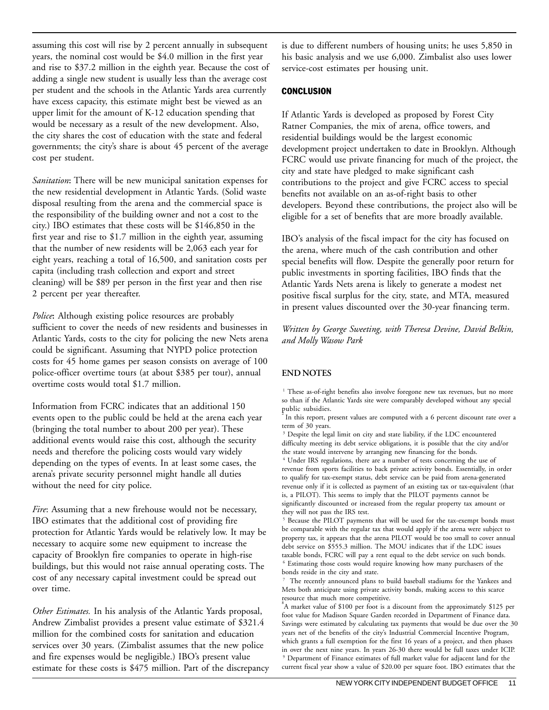assuming this cost will rise by 2 percent annually in subsequent years, the nominal cost would be \$4.0 million in the first year and rise to \$37.2 million in the eighth year. Because the cost of adding a single new student is usually less than the average cost per student and the schools in the Atlantic Yards area currently have excess capacity, this estimate might best be viewed as an upper limit for the amount of K-12 education spending that would be necessary as a result of the new development. Also, the city shares the cost of education with the state and federal governments; the city's share is about 45 percent of the average cost per student.

*Sanitation***:** There will be new municipal sanitation expenses for the new residential development in Atlantic Yards. (Solid waste disposal resulting from the arena and the commercial space is the responsibility of the building owner and not a cost to the city.) IBO estimates that these costs will be \$146,850 in the first year and rise to \$1.7 million in the eighth year, assuming that the number of new residents will be 2,063 each year for eight years, reaching a total of 16,500, and sanitation costs per capita (including trash collection and export and street cleaning) will be \$89 per person in the first year and then rise 2 percent per year thereafter.

*Police***:** Although existing police resources are probably sufficient to cover the needs of new residents and businesses in Atlantic Yards, costs to the city for policing the new Nets arena could be significant. Assuming that NYPD police protection costs for 45 home games per season consists on average of 100 police-officer overtime tours (at about \$385 per tour), annual overtime costs would total \$1.7 million.

Information from FCRC indicates that an additional 150 events open to the public could be held at the arena each year (bringing the total number to about 200 per year). These additional events would raise this cost, although the security needs and therefore the policing costs would vary widely depending on the types of events. In at least some cases, the arena's private security personnel might handle all duties without the need for city police.

*Fire*: Assuming that a new firehouse would not be necessary, IBO estimates that the additional cost of providing fire protection for Atlantic Yards would be relatively low. It may be necessary to acquire some new equipment to increase the capacity of Brooklyn fire companies to operate in high-rise buildings, but this would not raise annual operating costs. The cost of any necessary capital investment could be spread out over time.

*Other Estimates.* In his analysis of the Atlantic Yards proposal, Andrew Zimbalist provides a present value estimate of \$321.4 million for the combined costs for sanitation and education services over 30 years. (Zimbalist assumes that the new police and fire expenses would be negligible.) IBO's present value estimate for these costs is \$475 million. Part of the discrepancy is due to different numbers of housing units; he uses 5,850 in his basic analysis and we use 6,000. Zimbalist also uses lower service-cost estimates per housing unit.

#### **CONCLUSION**

If Atlantic Yards is developed as proposed by Forest City Ratner Companies, the mix of arena, office towers, and residential buildings would be the largest economic development project undertaken to date in Brooklyn. Although FCRC would use private financing for much of the project, the city and state have pledged to make significant cash contributions to the project and give FCRC access to special benefits not available on an as-of-right basis to other developers. Beyond these contributions, the project also will be eligible for a set of benefits that are more broadly available.

IBO's analysis of the fiscal impact for the city has focused on the arena, where much of the cash contribution and other special benefits will flow. Despite the generally poor return for public investments in sporting facilities, IBO finds that the Atlantic Yards Nets arena is likely to generate a modest net positive fiscal surplus for the city, state, and MTA, measured in present values discounted over the 30-year financing term.

*Written by George Sweeting, with Theresa Devine, David Belkin, and Molly Wasow Park*

#### **END NOTES**

<sup>1</sup> These as-of-right benefits also involve foregone new tax revenues, but no more so than if the Atlantic Yards site were comparably developed without any special public subsidies.

In this report, present values are computed with a 6 percent discount rate over a term of 30 years.

<sup>3</sup> Despite the legal limit on city and state liability, if the LDC encountered difficulty meeting its debt service obligations, it is possible that the city and/or the state would intervene by arranging new financing for the bonds.

4 Under IRS regulations, there are a number of tests concerning the use of revenue from sports facilities to back private activity bonds. Essentially, in order to qualify for tax-exempt status, debt service can be paid from arena-generated revenue only if it is collected as payment of an existing tax or tax-equivalent (that is, a PILOT). This seems to imply that the PILOT payments cannot be significantly discounted or increased from the regular property tax amount or they will not pass the IRS test.

<sup>5</sup> Because the PILOT payments that will be used for the tax-exempt bonds must be comparable with the regular tax that would apply if the arena were subject to property tax, it appears that the arena PILOT would be too small to cover annual debt service on \$555.3 million. The MOU indicates that if the LDC issues taxable bonds, FCRC will pay a rent equal to the debt service on such bonds. 6 Estimating those costs would require knowing how many purchasers of the bonds reside in the city and state.

7 The recently announced plans to build baseball stadiums for the Yankees and Mets both anticipate using private activity bonds, making access to this scarce resource that much more competitive.

8 A market value of \$100 per foot is a discount from the approximately \$125 per foot value for Madison Square Garden recorded in Department of Finance data. Savings were estimated by calculating tax payments that would be due over the 30 years net of the benefits of the city's Industrial Commercial Incentive Program, which grants a full exemption for the first 16 years of a project, and then phases in over the next nine years. In years 26-30 there would be full taxes under ICIP. 9 Department of Finance estimates of full market value for adjacent land for the current fiscal year show a value of \$20.00 per square foot. IBO estimates that the